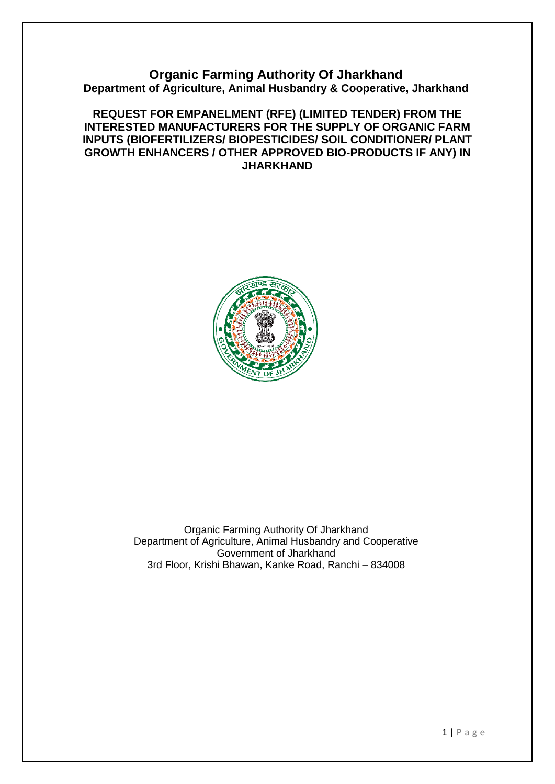# **Organic Farming Authority Of Jharkhand Department of Agriculture, Animal Husbandry & Cooperative, Jharkhand**

# **REQUEST FOR EMPANELMENT (RFE) (LIMITED TENDER) FROM THE INTERESTED MANUFACTURERS FOR THE SUPPLY OF ORGANIC FARM INPUTS (BIOFERTILIZERS/ BIOPESTICIDES/ SOIL CONDITIONER/ PLANT GROWTH ENHANCERS / OTHER APPROVED BIO-PRODUCTS IF ANY) IN JHARKHAND**



Organic Farming Authority Of Jharkhand Department of Agriculture, Animal Husbandry and Cooperative Government of Jharkhand 3rd Floor, Krishi Bhawan, Kanke Road, Ranchi – 834008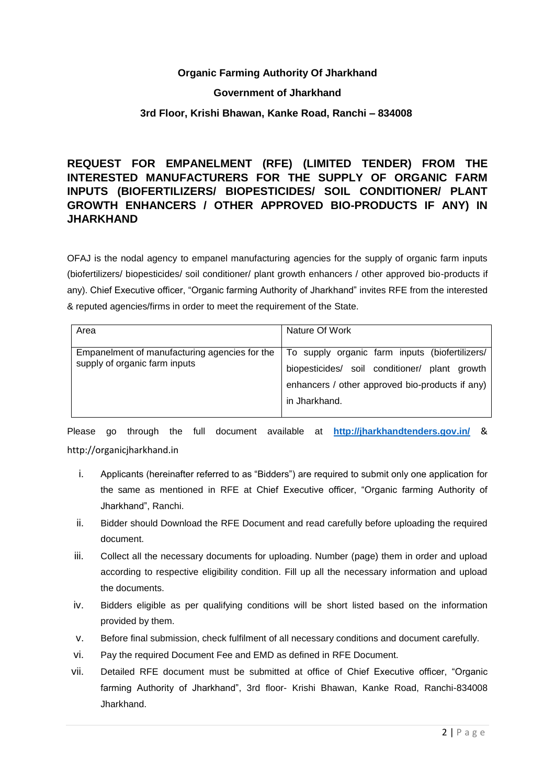# **Organic Farming Authority Of Jharkhand**

# **Government of Jharkhand**

# **3rd Floor, Krishi Bhawan, Kanke Road, Ranchi – 834008**

# **REQUEST FOR EMPANELMENT (RFE) (LIMITED TENDER) FROM THE INTERESTED MANUFACTURERS FOR THE SUPPLY OF ORGANIC FARM INPUTS (BIOFERTILIZERS/ BIOPESTICIDES/ SOIL CONDITIONER/ PLANT GROWTH ENHANCERS / OTHER APPROVED BIO-PRODUCTS IF ANY) IN JHARKHAND**

OFAJ is the nodal agency to empanel manufacturing agencies for the supply of organic farm inputs (biofertilizers/ biopesticides/ soil conditioner/ plant growth enhancers / other approved bio-products if any). Chief Executive officer, "Organic farming Authority of Jharkhand" invites RFE from the interested & reputed agencies/firms in order to meet the requirement of the State.

| Area                                                                           | Nature Of Work                                                                                                                                                      |
|--------------------------------------------------------------------------------|---------------------------------------------------------------------------------------------------------------------------------------------------------------------|
| Empanelment of manufacturing agencies for the<br>supply of organic farm inputs | To supply organic farm inputs (biofertilizers/<br>biopesticides/ soil conditioner/ plant growth<br>enhancers / other approved bio-products if any)<br>in Jharkhand. |

Please go through the full document available at **<http://jharkhandtenders.gov.in/>** & http://organicjharkhand.in

- i. Applicants (hereinafter referred to as "Bidders") are required to submit only one application for the same as mentioned in RFE at Chief Executive officer, "Organic farming Authority of Jharkhand", Ranchi.
- ii. Bidder should Download the RFE Document and read carefully before uploading the required document.
- iii. Collect all the necessary documents for uploading. Number (page) them in order and upload according to respective eligibility condition. Fill up all the necessary information and upload the documents.
- iv. Bidders eligible as per qualifying conditions will be short listed based on the information provided by them.
- v. Before final submission, check fulfilment of all necessary conditions and document carefully.
- vi. Pay the required Document Fee and EMD as defined in RFE Document.
- vii. Detailed RFE document must be submitted at office of Chief Executive officer, "Organic farming Authority of Jharkhand", 3rd floor- Krishi Bhawan, Kanke Road, Ranchi-834008 Jharkhand.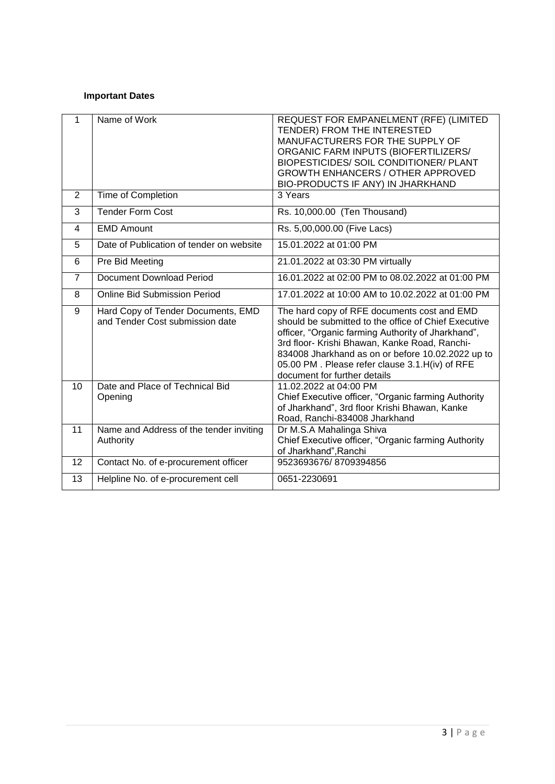# **Important Dates**

| 1              | Name of Work                                                          | REQUEST FOR EMPANELMENT (RFE) (LIMITED<br>TENDER) FROM THE INTERESTED<br>MANUFACTURERS FOR THE SUPPLY OF<br>ORGANIC FARM INPUTS (BIOFERTILIZERS/<br>BIOPESTICIDES/ SOIL CONDITIONER/ PLANT<br><b>GROWTH ENHANCERS / OTHER APPROVED</b><br>BIO-PRODUCTS IF ANY) IN JHARKHAND                                                                        |
|----------------|-----------------------------------------------------------------------|----------------------------------------------------------------------------------------------------------------------------------------------------------------------------------------------------------------------------------------------------------------------------------------------------------------------------------------------------|
| 2              | Time of Completion                                                    | 3 Years                                                                                                                                                                                                                                                                                                                                            |
| 3              | <b>Tender Form Cost</b>                                               | Rs. 10,000.00 (Ten Thousand)                                                                                                                                                                                                                                                                                                                       |
| $\overline{4}$ | <b>EMD Amount</b>                                                     | Rs. 5,00,000.00 (Five Lacs)                                                                                                                                                                                                                                                                                                                        |
| 5              | Date of Publication of tender on website                              | 15.01.2022 at 01:00 PM                                                                                                                                                                                                                                                                                                                             |
| 6              | Pre Bid Meeting                                                       | 21.01.2022 at 03:30 PM virtually                                                                                                                                                                                                                                                                                                                   |
| $\overline{7}$ | Document Download Period                                              | 16.01.2022 at 02:00 PM to 08.02.2022 at 01:00 PM                                                                                                                                                                                                                                                                                                   |
| 8              | <b>Online Bid Submission Period</b>                                   | 17.01.2022 at 10:00 AM to 10.02.2022 at 01:00 PM                                                                                                                                                                                                                                                                                                   |
| 9              | Hard Copy of Tender Documents, EMD<br>and Tender Cost submission date | The hard copy of RFE documents cost and EMD<br>should be submitted to the office of Chief Executive<br>officer, "Organic farming Authority of Jharkhand",<br>3rd floor- Krishi Bhawan, Kanke Road, Ranchi-<br>834008 Jharkhand as on or before 10.02.2022 up to<br>05.00 PM. Please refer clause 3.1. H(iv) of RFE<br>document for further details |
| 10             | Date and Place of Technical Bid<br>Opening                            | 11.02.2022 at 04:00 PM<br>Chief Executive officer, "Organic farming Authority<br>of Jharkhand", 3rd floor Krishi Bhawan, Kanke<br>Road, Ranchi-834008 Jharkhand                                                                                                                                                                                    |
| 11             | Name and Address of the tender inviting<br>Authority                  | Dr M.S.A Mahalinga Shiva<br>Chief Executive officer, "Organic farming Authority<br>of Jharkhand", Ranchi                                                                                                                                                                                                                                           |
| 12             | Contact No. of e-procurement officer                                  | 9523693676/8709394856                                                                                                                                                                                                                                                                                                                              |
| 13             | Helpline No. of e-procurement cell                                    | 0651-2230691                                                                                                                                                                                                                                                                                                                                       |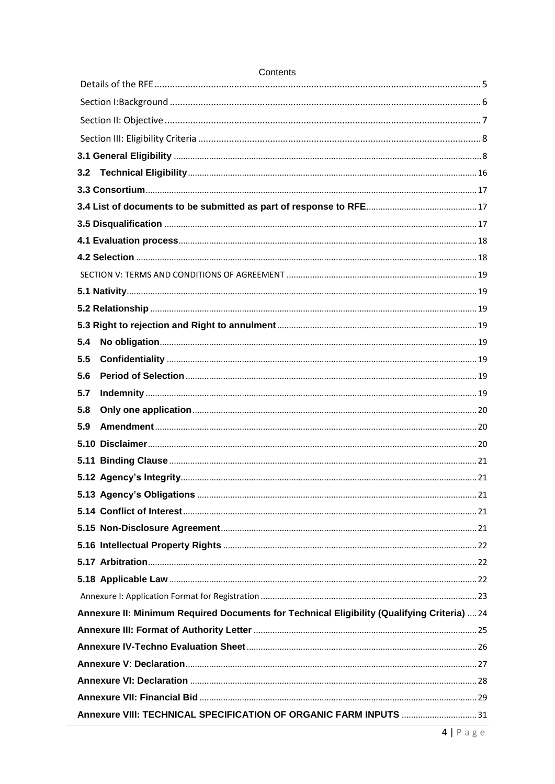| 5.4                                                                                         |  |
|---------------------------------------------------------------------------------------------|--|
| 5.5                                                                                         |  |
| 5.6                                                                                         |  |
| 5.7                                                                                         |  |
| 5.8                                                                                         |  |
| 5.9                                                                                         |  |
|                                                                                             |  |
|                                                                                             |  |
|                                                                                             |  |
|                                                                                             |  |
|                                                                                             |  |
|                                                                                             |  |
|                                                                                             |  |
|                                                                                             |  |
|                                                                                             |  |
|                                                                                             |  |
| Annexure II: Minimum Required Documents for Technical Eligibility (Qualifying Criteria)  24 |  |
|                                                                                             |  |
|                                                                                             |  |
|                                                                                             |  |
|                                                                                             |  |
|                                                                                             |  |
| Annexure VIII: TECHNICAL SPECIFICATION OF ORGANIC FARM INPUTS 31                            |  |

# Contents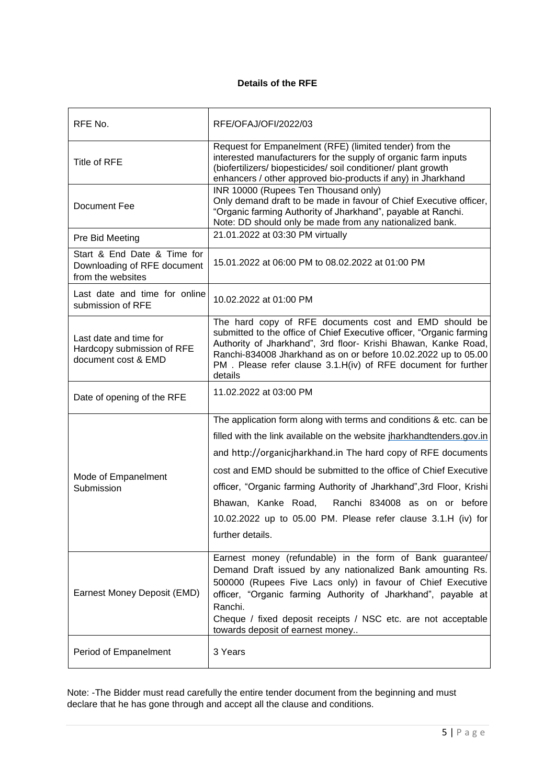# **Details of the RFE**

<span id="page-4-0"></span>

| RFE No.                                                                         | RFE/OFAJ/OFI/2022/03                                                                                                                                                                                                                                                                                                                                                                                                                                                                                   |
|---------------------------------------------------------------------------------|--------------------------------------------------------------------------------------------------------------------------------------------------------------------------------------------------------------------------------------------------------------------------------------------------------------------------------------------------------------------------------------------------------------------------------------------------------------------------------------------------------|
| Title of RFE                                                                    | Request for Empanelment (RFE) (limited tender) from the<br>interested manufacturers for the supply of organic farm inputs<br>(biofertilizers/ biopesticides/ soil conditioner/ plant growth<br>enhancers / other approved bio-products if any) in Jharkhand                                                                                                                                                                                                                                            |
| Document Fee                                                                    | INR 10000 (Rupees Ten Thousand only)<br>Only demand draft to be made in favour of Chief Executive officer,<br>"Organic farming Authority of Jharkhand", payable at Ranchi.<br>Note: DD should only be made from any nationalized bank.                                                                                                                                                                                                                                                                 |
| Pre Bid Meeting                                                                 | 21.01.2022 at 03:30 PM virtually                                                                                                                                                                                                                                                                                                                                                                                                                                                                       |
| Start & End Date & Time for<br>Downloading of RFE document<br>from the websites | 15.01.2022 at 06:00 PM to 08.02.2022 at 01:00 PM                                                                                                                                                                                                                                                                                                                                                                                                                                                       |
| Last date and time for online<br>submission of RFE                              | 10.02.2022 at 01:00 PM                                                                                                                                                                                                                                                                                                                                                                                                                                                                                 |
| Last date and time for<br>Hardcopy submission of RFE<br>document cost & EMD     | The hard copy of RFE documents cost and EMD should be<br>submitted to the office of Chief Executive officer, "Organic farming<br>Authority of Jharkhand", 3rd floor- Krishi Bhawan, Kanke Road,<br>Ranchi-834008 Jharkhand as on or before 10.02.2022 up to 05.00<br>PM. Please refer clause 3.1.H(iv) of RFE document for further<br>details                                                                                                                                                          |
| Date of opening of the RFE                                                      | 11.02.2022 at 03:00 PM                                                                                                                                                                                                                                                                                                                                                                                                                                                                                 |
| Mode of Empanelment<br>Submission                                               | The application form along with terms and conditions & etc. can be<br>filled with the link available on the website jharkhandtenders.gov.in<br>and http://organicjharkhand.in The hard copy of RFE documents<br>cost and EMD should be submitted to the office of Chief Executive<br>officer, "Organic farming Authority of Jharkhand", 3rd Floor, Krishi<br>Ranchi 834008 as on or before<br>Bhawan, Kanke Road,<br>10.02.2022 up to 05.00 PM. Please refer clause 3.1.H (iv) for<br>further details. |
| Earnest Money Deposit (EMD)                                                     | Earnest money (refundable) in the form of Bank guarantee/<br>Demand Draft issued by any nationalized Bank amounting Rs.<br>500000 (Rupees Five Lacs only) in favour of Chief Executive<br>officer, "Organic farming Authority of Jharkhand", payable at<br>Ranchi.<br>Cheque / fixed deposit receipts / NSC etc. are not acceptable<br>towards deposit of earnest money                                                                                                                                |
| Period of Empanelment                                                           | 3 Years                                                                                                                                                                                                                                                                                                                                                                                                                                                                                                |

Note: -The Bidder must read carefully the entire tender document from the beginning and must declare that he has gone through and accept all the clause and conditions.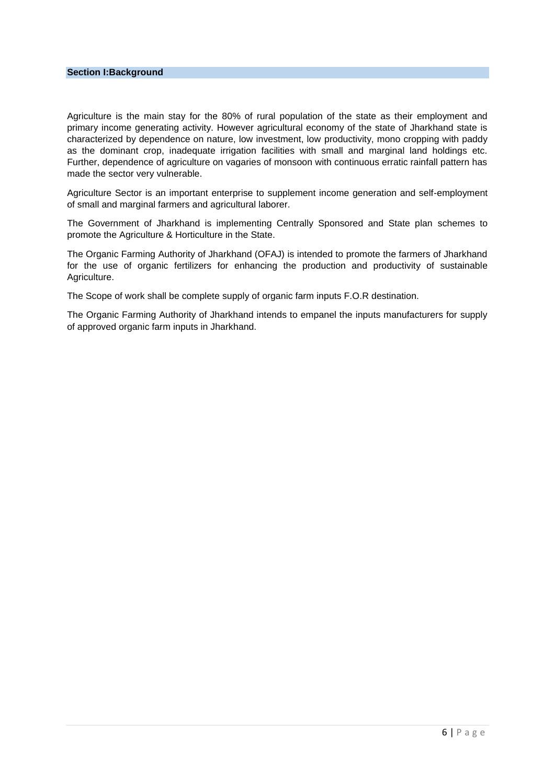<span id="page-5-0"></span>Agriculture is the main stay for the 80% of rural population of the state as their employment and primary income generating activity. However agricultural economy of the state of Jharkhand state is characterized by dependence on nature, low investment, low productivity, mono cropping with paddy as the dominant crop, inadequate irrigation facilities with small and marginal land holdings etc. Further, dependence of agriculture on vagaries of monsoon with continuous erratic rainfall pattern has made the sector very vulnerable.

Agriculture Sector is an important enterprise to supplement income generation and self-employment of small and marginal farmers and agricultural laborer.

The Government of Jharkhand is implementing Centrally Sponsored and State plan schemes to promote the Agriculture & Horticulture in the State.

The Organic Farming Authority of Jharkhand (OFAJ) is intended to promote the farmers of Jharkhand for the use of organic fertilizers for enhancing the production and productivity of sustainable Agriculture.

The Scope of work shall be complete supply of organic farm inputs F.O.R destination.

The Organic Farming Authority of Jharkhand intends to empanel the inputs manufacturers for supply of approved organic farm inputs in Jharkhand.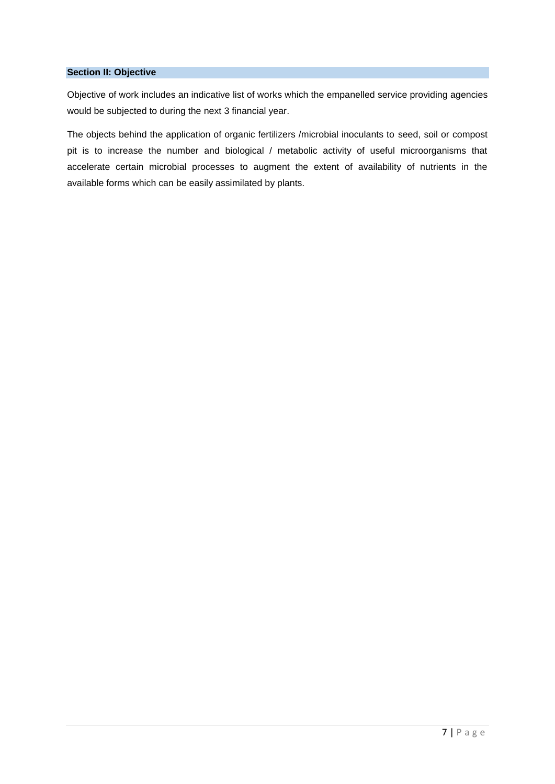#### <span id="page-6-0"></span>**Section II: Objective**

Objective of work includes an indicative list of works which the empanelled service providing agencies would be subjected to during the next 3 financial year.

The objects behind the application of organic fertilizers /microbial inoculants to seed, soil or compost pit is to increase the number and biological / metabolic activity of useful microorganisms that accelerate certain microbial processes to augment the extent of availability of nutrients in the available forms which can be easily assimilated by plants.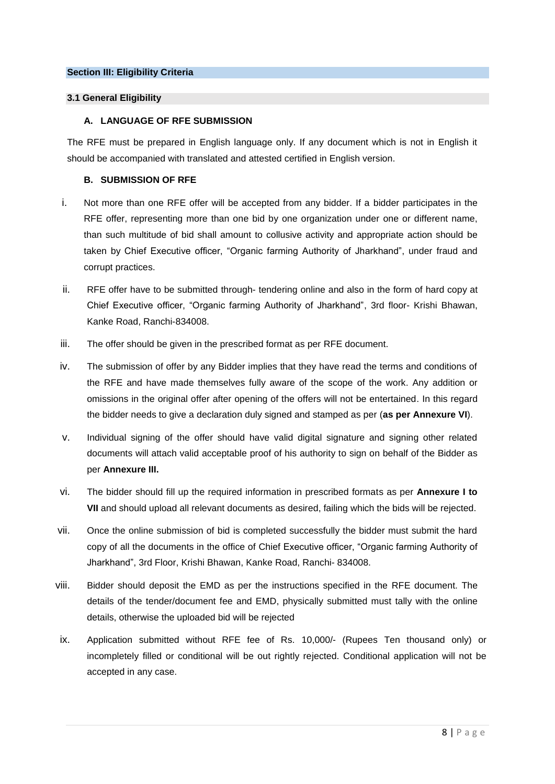#### <span id="page-7-1"></span><span id="page-7-0"></span>**3.1 General Eligibility**

#### **A. LANGUAGE OF RFE SUBMISSION**

The RFE must be prepared in English language only. If any document which is not in English it should be accompanied with translated and attested certified in English version.

## **B. SUBMISSION OF RFE**

- i. Not more than one RFE offer will be accepted from any bidder. If a bidder participates in the RFE offer, representing more than one bid by one organization under one or different name, than such multitude of bid shall amount to collusive activity and appropriate action should be taken by Chief Executive officer, "Organic farming Authority of Jharkhand", under fraud and corrupt practices.
- ii. RFE offer have to be submitted through- tendering online and also in the form of hard copy at Chief Executive officer, "Organic farming Authority of Jharkhand", 3rd floor- Krishi Bhawan, Kanke Road, Ranchi-834008.
- iii. The offer should be given in the prescribed format as per RFE document.
- iv. The submission of offer by any Bidder implies that they have read the terms and conditions of the RFE and have made themselves fully aware of the scope of the work. Any addition or omissions in the original offer after opening of the offers will not be entertained. In this regard the bidder needs to give a declaration duly signed and stamped as per (**as per Annexure VI**).
- v. Individual signing of the offer should have valid digital signature and signing other related documents will attach valid acceptable proof of his authority to sign on behalf of the Bidder as per **Annexure III.**
- vi. The bidder should fill up the required information in prescribed formats as per **Annexure I to VII** and should upload all relevant documents as desired, failing which the bids will be rejected.
- vii. Once the online submission of bid is completed successfully the bidder must submit the hard copy of all the documents in the office of Chief Executive officer, "Organic farming Authority of Jharkhand", 3rd Floor, Krishi Bhawan, Kanke Road, Ranchi- 834008.
- viii. Bidder should deposit the EMD as per the instructions specified in the RFE document. The details of the tender/document fee and EMD, physically submitted must tally with the online details, otherwise the uploaded bid will be rejected
- ix. Application submitted without RFE fee of Rs. 10,000/- (Rupees Ten thousand only) or incompletely filled or conditional will be out rightly rejected. Conditional application will not be accepted in any case.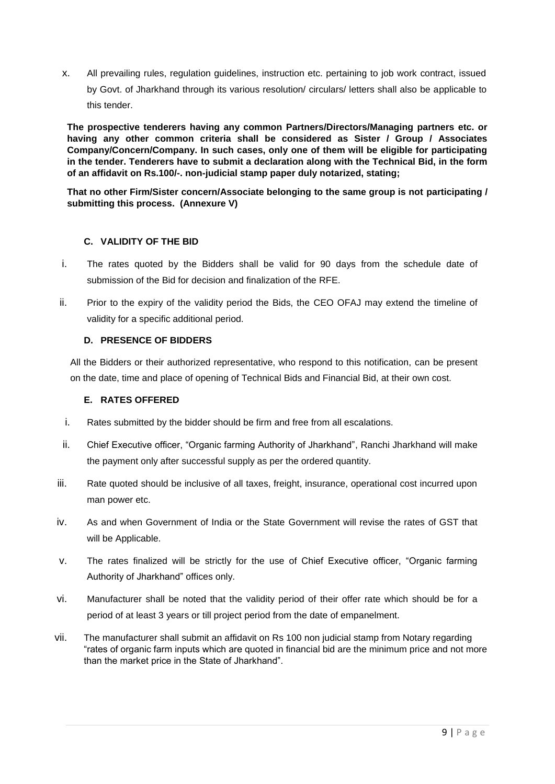x. All prevailing rules, regulation guidelines, instruction etc. pertaining to job work contract, issued by Govt. of Jharkhand through its various resolution/ circulars/ letters shall also be applicable to this tender.

**The prospective tenderers having any common Partners/Directors/Managing partners etc. or having any other common criteria shall be considered as Sister / Group / Associates Company/Concern/Company. In such cases, only one of them will be eligible for participating in the tender. Tenderers have to submit a declaration along with the Technical Bid, in the form of an affidavit on Rs.100/-. non-judicial stamp paper duly notarized, stating;**

**That no other Firm/Sister concern/Associate belonging to the same group is not participating / submitting this process. (Annexure V)**

# **C. VALIDITY OF THE BID**

- i. The rates quoted by the Bidders shall be valid for 90 days from the schedule date of submission of the Bid for decision and finalization of the RFE.
- ii. Prior to the expiry of the validity period the Bids, the CEO OFAJ may extend the timeline of validity for a specific additional period.

## **D. PRESENCE OF BIDDERS**

All the Bidders or their authorized representative, who respond to this notification, can be present on the date, time and place of opening of Technical Bids and Financial Bid, at their own cost.

## **E. RATES OFFERED**

- i. Rates submitted by the bidder should be firm and free from all escalations.
- ii. Chief Executive officer, "Organic farming Authority of Jharkhand", Ranchi Jharkhand will make the payment only after successful supply as per the ordered quantity.
- iii. Rate quoted should be inclusive of all taxes, freight, insurance, operational cost incurred upon man power etc.
- iv. As and when Government of India or the State Government will revise the rates of GST that will be Applicable.
- v. The rates finalized will be strictly for the use of Chief Executive officer, "Organic farming Authority of Jharkhand" offices only.
- vi. Manufacturer shall be noted that the validity period of their offer rate which should be for a period of at least 3 years or till project period from the date of empanelment.
- vii. The manufacturer shall submit an affidavit on Rs 100 non judicial stamp from Notary regarding "rates of organic farm inputs which are quoted in financial bid are the minimum price and not more than the market price in the State of Jharkhand".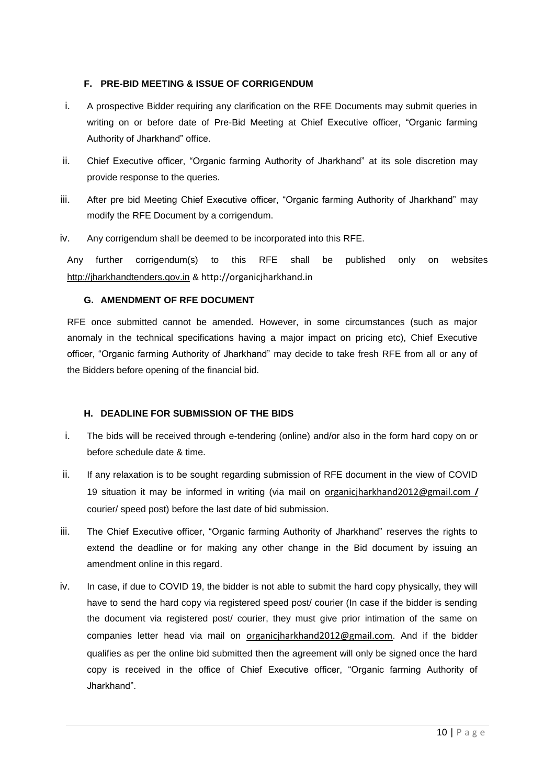# **F. PRE-BID MEETING & ISSUE OF CORRIGENDUM**

- i. A prospective Bidder requiring any clarification on the RFE Documents may submit queries in writing on or before date of Pre-Bid Meeting at Chief Executive officer, "Organic farming Authority of Jharkhand" office.
- ii. Chief Executive officer, "Organic farming Authority of Jharkhand" at its sole discretion may provide response to the queries.
- iii. After pre bid Meeting Chief Executive officer, "Organic farming Authority of Jharkhand" may modify the RFE Document by a corrigendum.
- iv. Any corrigendum shall be deemed to be incorporated into this RFE.

Any further corrigendum(s) to this RFE shall be published only on websites [http://jharkhandtenders.gov.in](http://jharkhandtenders.gov.in/) & http://organicjharkhand.in

# **G. AMENDMENT OF RFE DOCUMENT**

RFE once submitted cannot be amended. However, in some circumstances (such as major anomaly in the technical specifications having a major impact on pricing etc), Chief Executive officer, "Organic farming Authority of Jharkhand" may decide to take fresh RFE from all or any of the Bidders before opening of the financial bid.

# **H. DEADLINE FOR SUBMISSION OF THE BIDS**

- i. The bids will be received through e-tendering (online) and/or also in the form hard copy on or before schedule date & time.
- ii. If any relaxation is to be sought regarding submission of RFE document in the view of COVID 19 situation it may be informed in writing (via mail on [organicjharkhand2012@gmail.com](mailto:organicjharkhand2012@gmail.com) */* courier/ speed post) before the last date of bid submission.
- iii. The Chief Executive officer, "Organic farming Authority of Jharkhand" reserves the rights to extend the deadline or for making any other change in the Bid document by issuing an amendment online in this regard.
- iv. In case, if due to COVID 19, the bidder is not able to submit the hard copy physically, they will have to send the hard copy via registered speed post/ courier (In case if the bidder is sending the document via registered post/ courier, they must give prior intimation of the same on companies letter head via mail on [organicjharkhand2012@gmail.com](mailto:organicjharkhand2012@gmail.com). And if the bidder qualifies as per the online bid submitted then the agreement will only be signed once the hard copy is received in the office of Chief Executive officer, "Organic farming Authority of Jharkhand".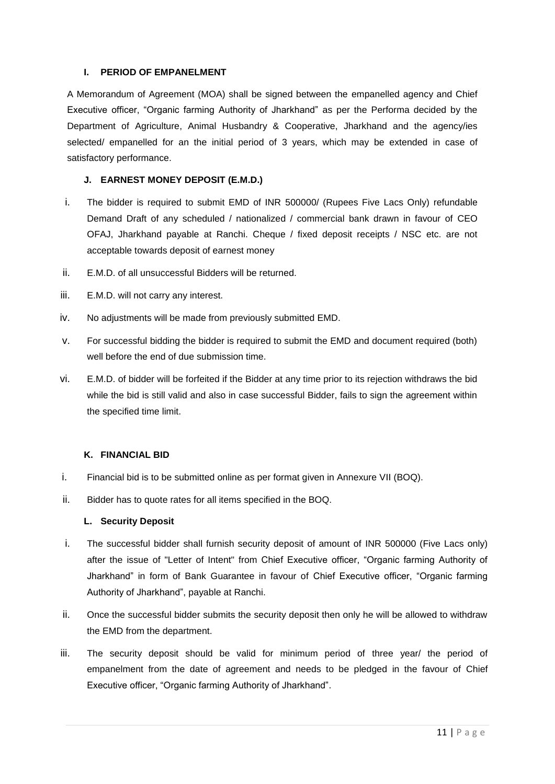# **I. PERIOD OF EMPANELMENT**

A Memorandum of Agreement (MOA) shall be signed between the empanelled agency and Chief Executive officer, "Organic farming Authority of Jharkhand" as per the Performa decided by the Department of Agriculture, Animal Husbandry & Cooperative, Jharkhand and the agency/ies selected/ empanelled for an the initial period of 3 years, which may be extended in case of satisfactory performance.

# **J. EARNEST MONEY DEPOSIT (E.M.D.)**

- i. The bidder is required to submit EMD of INR 500000/ (Rupees Five Lacs Only) refundable Demand Draft of any scheduled / nationalized / commercial bank drawn in favour of CEO OFAJ, Jharkhand payable at Ranchi. Cheque / fixed deposit receipts / NSC etc. are not acceptable towards deposit of earnest money
- ii. E.M.D. of all unsuccessful Bidders will be returned.
- iii. E.M.D. will not carry any interest.
- iv. No adjustments will be made from previously submitted EMD.
- v. For successful bidding the bidder is required to submit the EMD and document required (both) well before the end of due submission time.
- vi. E.M.D. of bidder will be forfeited if the Bidder at any time prior to its rejection withdraws the bid while the bid is still valid and also in case successful Bidder, fails to sign the agreement within the specified time limit.

## **K. FINANCIAL BID**

- i. Financial bid is to be submitted online as per format given in Annexure VII (BOQ).
- ii. Bidder has to quote rates for all items specified in the BOQ.

## **L. Security Deposit**

- i. The successful bidder shall furnish security deposit of amount of INR 500000 (Five Lacs only) after the issue of "Letter of Intent" from Chief Executive officer, "Organic farming Authority of Jharkhand" in form of Bank Guarantee in favour of Chief Executive officer, "Organic farming Authority of Jharkhand", payable at Ranchi.
- ii. Once the successful bidder submits the security deposit then only he will be allowed to withdraw the EMD from the department.
- iii. The security deposit should be valid for minimum period of three year/ the period of empanelment from the date of agreement and needs to be pledged in the favour of Chief Executive officer, "Organic farming Authority of Jharkhand".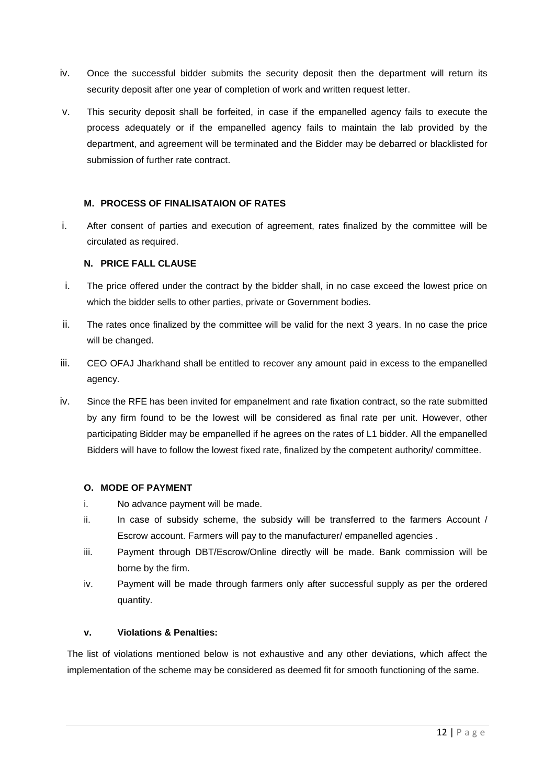- iv. Once the successful bidder submits the security deposit then the department will return its security deposit after one year of completion of work and written request letter.
- v. This security deposit shall be forfeited, in case if the empanelled agency fails to execute the process adequately or if the empanelled agency fails to maintain the lab provided by the department, and agreement will be terminated and the Bidder may be debarred or blacklisted for submission of further rate contract.

## **M. PROCESS OF FINALISATAION OF RATES**

i. After consent of parties and execution of agreement, rates finalized by the committee will be circulated as required.

## **N. PRICE FALL CLAUSE**

- i. The price offered under the contract by the bidder shall, in no case exceed the lowest price on which the bidder sells to other parties, private or Government bodies.
- ii. The rates once finalized by the committee will be valid for the next 3 years. In no case the price will be changed.
- iii. CEO OFAJ Jharkhand shall be entitled to recover any amount paid in excess to the empanelled agency.
- iv. Since the RFE has been invited for empanelment and rate fixation contract, so the rate submitted by any firm found to be the lowest will be considered as final rate per unit. However, other participating Bidder may be empanelled if he agrees on the rates of L1 bidder. All the empanelled Bidders will have to follow the lowest fixed rate, finalized by the competent authority/ committee.

## **O. MODE OF PAYMENT**

- i. No advance payment will be made.
- ii. In case of subsidy scheme, the subsidy will be transferred to the farmers Account / Escrow account. Farmers will pay to the manufacturer/ empanelled agencies .
- iii. Payment through DBT/Escrow/Online directly will be made. Bank commission will be borne by the firm.
- iv. Payment will be made through farmers only after successful supply as per the ordered quantity.

# **v. Violations & Penalties:**

The list of violations mentioned below is not exhaustive and any other deviations, which affect the implementation of the scheme may be considered as deemed fit for smooth functioning of the same.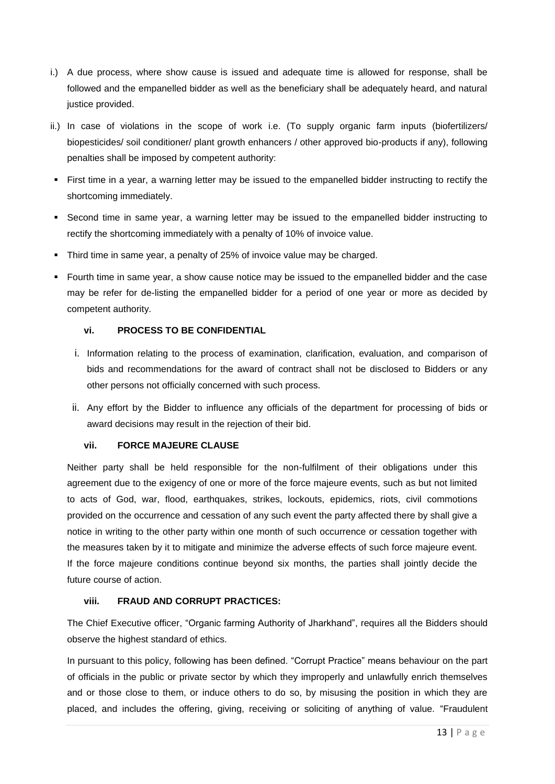- i.) A due process, where show cause is issued and adequate time is allowed for response, shall be followed and the empanelled bidder as well as the beneficiary shall be adequately heard, and natural justice provided.
- ii.) In case of violations in the scope of work i.e. (To supply organic farm inputs (biofertilizers/ biopesticides/ soil conditioner/ plant growth enhancers / other approved bio-products if any), following penalties shall be imposed by competent authority:
- First time in a year, a warning letter may be issued to the empanelled bidder instructing to rectify the shortcoming immediately.
- Second time in same year, a warning letter may be issued to the empanelled bidder instructing to rectify the shortcoming immediately with a penalty of 10% of invoice value.
- Third time in same year, a penalty of 25% of invoice value may be charged.
- Fourth time in same year, a show cause notice may be issued to the empanelled bidder and the case may be refer for de-listing the empanelled bidder for a period of one year or more as decided by competent authority.

# **vi. PROCESS TO BE CONFIDENTIAL**

- i. Information relating to the process of examination, clarification, evaluation, and comparison of bids and recommendations for the award of contract shall not be disclosed to Bidders or any other persons not officially concerned with such process.
- ii. Any effort by the Bidder to influence any officials of the department for processing of bids or award decisions may result in the rejection of their bid.

# **vii. FORCE MAJEURE CLAUSE**

Neither party shall be held responsible for the non-fulfilment of their obligations under this agreement due to the exigency of one or more of the force majeure events, such as but not limited to acts of God, war, flood, earthquakes, strikes, lockouts, epidemics, riots, civil commotions provided on the occurrence and cessation of any such event the party affected there by shall give a notice in writing to the other party within one month of such occurrence or cessation together with the measures taken by it to mitigate and minimize the adverse effects of such force majeure event. If the force majeure conditions continue beyond six months, the parties shall jointly decide the future course of action.

# **viii. FRAUD AND CORRUPT PRACTICES:**

The Chief Executive officer, "Organic farming Authority of Jharkhand", requires all the Bidders should observe the highest standard of ethics.

In pursuant to this policy, following has been defined. "Corrupt Practice" means behaviour on the part of officials in the public or private sector by which they improperly and unlawfully enrich themselves and or those close to them, or induce others to do so, by misusing the position in which they are placed, and includes the offering, giving, receiving or soliciting of anything of value. "Fraudulent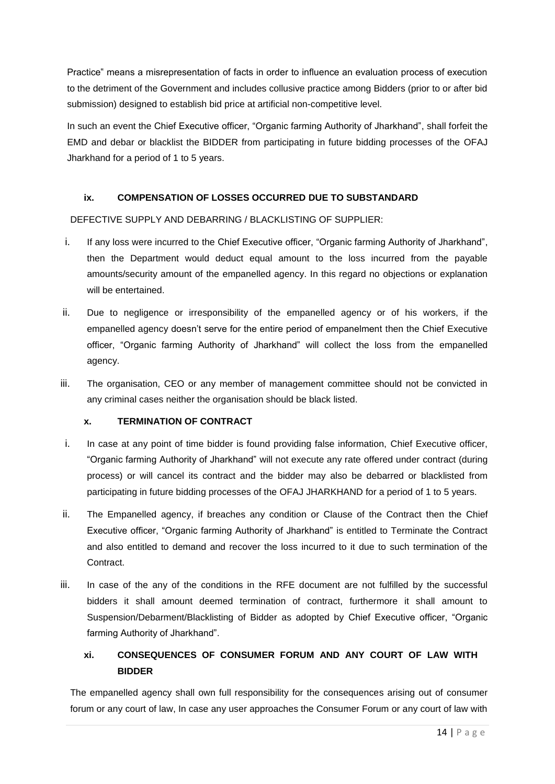Practice" means a misrepresentation of facts in order to influence an evaluation process of execution to the detriment of the Government and includes collusive practice among Bidders (prior to or after bid submission) designed to establish bid price at artificial non-competitive level.

In such an event the Chief Executive officer, "Organic farming Authority of Jharkhand", shall forfeit the EMD and debar or blacklist the BIDDER from participating in future bidding processes of the OFAJ Jharkhand for a period of 1 to 5 years.

# **ix. COMPENSATION OF LOSSES OCCURRED DUE TO SUBSTANDARD**

# DEFECTIVE SUPPLY AND DEBARRING / BLACKLISTING OF SUPPLIER:

- i. If any loss were incurred to the Chief Executive officer, "Organic farming Authority of Jharkhand", then the Department would deduct equal amount to the loss incurred from the payable amounts/security amount of the empanelled agency. In this regard no objections or explanation will be entertained.
- ii. Due to negligence or irresponsibility of the empanelled agency or of his workers, if the empanelled agency doesn't serve for the entire period of empanelment then the Chief Executive officer, "Organic farming Authority of Jharkhand" will collect the loss from the empanelled agency.
- iii. The organisation, CEO or any member of management committee should not be convicted in any criminal cases neither the organisation should be black listed.

# **x. TERMINATION OF CONTRACT**

- i. In case at any point of time bidder is found providing false information, Chief Executive officer, "Organic farming Authority of Jharkhand" will not execute any rate offered under contract (during process) or will cancel its contract and the bidder may also be debarred or blacklisted from participating in future bidding processes of the OFAJ JHARKHAND for a period of 1 to 5 years.
- ii. The Empanelled agency, if breaches any condition or Clause of the Contract then the Chief Executive officer, "Organic farming Authority of Jharkhand" is entitled to Terminate the Contract and also entitled to demand and recover the loss incurred to it due to such termination of the Contract.
- iii. In case of the any of the conditions in the RFE document are not fulfilled by the successful bidders it shall amount deemed termination of contract, furthermore it shall amount to Suspension/Debarment/Blacklisting of Bidder as adopted by Chief Executive officer, "Organic farming Authority of Jharkhand".

# **xi. CONSEQUENCES OF CONSUMER FORUM AND ANY COURT OF LAW WITH BIDDER**

The empanelled agency shall own full responsibility for the consequences arising out of consumer forum or any court of law, In case any user approaches the Consumer Forum or any court of law with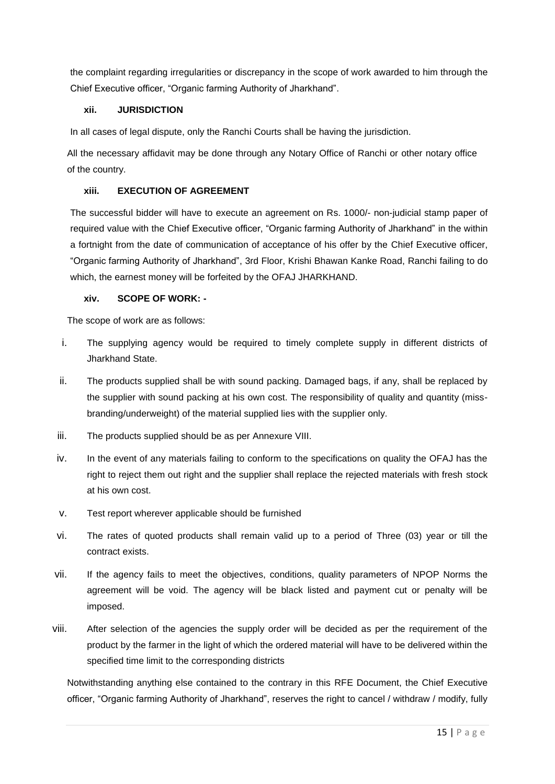the complaint regarding irregularities or discrepancy in the scope of work awarded to him through the Chief Executive officer, "Organic farming Authority of Jharkhand".

# **xii. JURISDICTION**

In all cases of legal dispute, only the Ranchi Courts shall be having the jurisdiction.

All the necessary affidavit may be done through any Notary Office of Ranchi or other notary office of the country.

# **xiii. EXECUTION OF AGREEMENT**

The successful bidder will have to execute an agreement on Rs. 1000/- non-judicial stamp paper of required value with the Chief Executive officer, "Organic farming Authority of Jharkhand" in the within a fortnight from the date of communication of acceptance of his offer by the Chief Executive officer, "Organic farming Authority of Jharkhand", 3rd Floor, Krishi Bhawan Kanke Road, Ranchi failing to do which, the earnest money will be forfeited by the OFAJ JHARKHAND.

## **xiv. SCOPE OF WORK: -**

The scope of work are as follows:

- i. The supplying agency would be required to timely complete supply in different districts of Jharkhand State.
- ii. The products supplied shall be with sound packing. Damaged bags, if any, shall be replaced by the supplier with sound packing at his own cost. The responsibility of quality and quantity (missbranding/underweight) of the material supplied lies with the supplier only.
- iii. The products supplied should be as per Annexure VIII.
- iv. In the event of any materials failing to conform to the specifications on quality the OFAJ has the right to reject them out right and the supplier shall replace the rejected materials with fresh stock at his own cost.
- v. Test report wherever applicable should be furnished
- vi. The rates of quoted products shall remain valid up to a period of Three (03) year or till the contract exists.
- vii. If the agency fails to meet the objectives, conditions, quality parameters of NPOP Norms the agreement will be void. The agency will be black listed and payment cut or penalty will be imposed.
- viii. After selection of the agencies the supply order will be decided as per the requirement of the product by the farmer in the light of which the ordered material will have to be delivered within the specified time limit to the corresponding districts

Notwithstanding anything else contained to the contrary in this RFE Document, the Chief Executive officer, "Organic farming Authority of Jharkhand", reserves the right to cancel / withdraw / modify, fully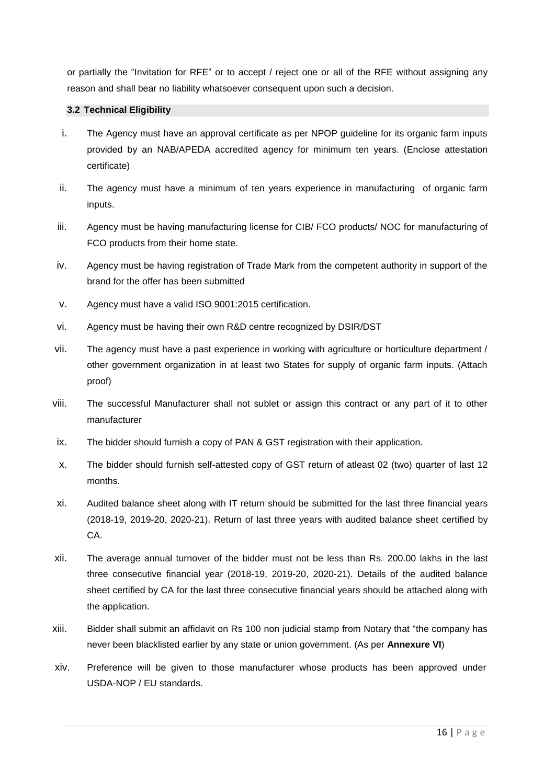or partially the "Invitation for RFE" or to accept / reject one or all of the RFE without assigning any reason and shall bear no liability whatsoever consequent upon such a decision.

# <span id="page-15-0"></span>**3.2 Technical Eligibility**

- i. The Agency must have an approval certificate as per NPOP guideline for its organic farm inputs provided by an NAB/APEDA accredited agency for minimum ten years. (Enclose attestation certificate)
- ii. The agency must have a minimum of ten years experience in manufacturing of organic farm inputs.
- iii. Agency must be having manufacturing license for CIB/ FCO products/ NOC for manufacturing of FCO products from their home state.
- iv. Agency must be having registration of Trade Mark from the competent authority in support of the brand for the offer has been submitted
- v. Agency must have a valid ISO 9001:2015 certification.
- vi. Agency must be having their own R&D centre recognized by DSIR/DST
- vii. The agency must have a past experience in working with agriculture or horticulture department / other government organization in at least two States for supply of organic farm inputs. (Attach proof)
- viii. The successful Manufacturer shall not sublet or assign this contract or any part of it to other manufacturer
- ix. The bidder should furnish a copy of PAN & GST registration with their application.
- x. The bidder should furnish self-attested copy of GST return of atleast 02 (two) quarter of last 12 months.
- xi. Audited balance sheet along with IT return should be submitted for the last three financial years (2018-19, 2019-20, 2020-21). Return of last three years with audited balance sheet certified by CA.
- xii. The average annual turnover of the bidder must not be less than Rs. 200.00 lakhs in the last three consecutive financial year (2018-19, 2019-20, 2020-21). Details of the audited balance sheet certified by CA for the last three consecutive financial years should be attached along with the application.
- xiii. Bidder shall submit an affidavit on Rs 100 non judicial stamp from Notary that "the company has never been blacklisted earlier by any state or union government. (As per **Annexure VI**)
- xiv. Preference will be given to those manufacturer whose products has been approved under USDA-NOP / EU standards.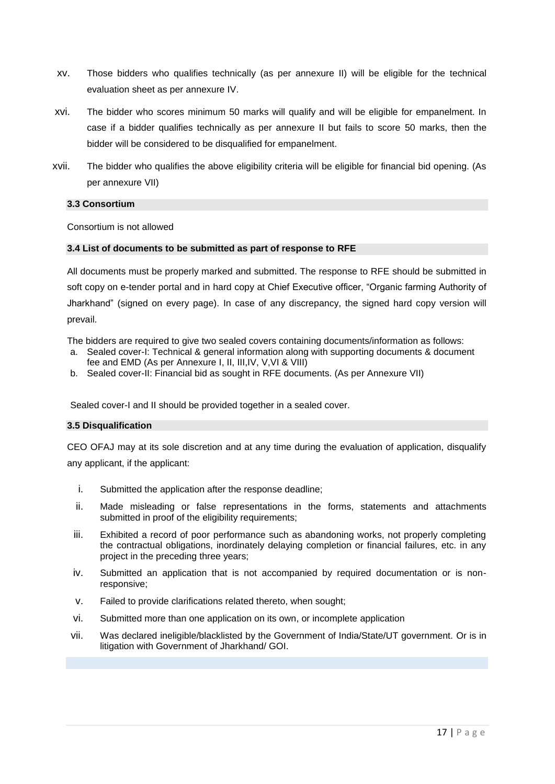- xv. Those bidders who qualifies technically (as per annexure II) will be eligible for the technical evaluation sheet as per annexure IV.
- xvi. The bidder who scores minimum 50 marks will qualify and will be eligible for empanelment. In case if a bidder qualifies technically as per annexure II but fails to score 50 marks, then the bidder will be considered to be disqualified for empanelment.
- xvii. The bidder who qualifies the above eligibility criteria will be eligible for financial bid opening. (As per annexure VII)

#### <span id="page-16-0"></span>**3.3 Consortium**

Consortium is not allowed

#### <span id="page-16-1"></span>**3.4 List of documents to be submitted as part of response to RFE**

All documents must be properly marked and submitted. The response to RFE should be submitted in soft copy on e-tender portal and in hard copy at Chief Executive officer, "Organic farming Authority of Jharkhand" (signed on every page). In case of any discrepancy, the signed hard copy version will prevail.

The bidders are required to give two sealed covers containing documents/information as follows:

- a. Sealed cover-I: Technical & general information along with supporting documents & document fee and EMD (As per Annexure I, II, III,IV, V,VI & VIII)
- b. Sealed cover-II: Financial bid as sought in RFE documents. (As per Annexure VII)

Sealed cover-I and II should be provided together in a sealed cover.

#### <span id="page-16-2"></span>**3.5 Disqualification**

CEO OFAJ may at its sole discretion and at any time during the evaluation of application, disqualify any applicant, if the applicant:

- i. Submitted the application after the response deadline;
- ii. Made misleading or false representations in the forms, statements and attachments submitted in proof of the eligibility requirements;
- iii. Exhibited a record of poor performance such as abandoning works, not properly completing the contractual obligations, inordinately delaying completion or financial failures, etc. in any project in the preceding three years;
- iv. Submitted an application that is not accompanied by required documentation or is nonresponsive;
- v. Failed to provide clarifications related thereto, when sought;
- vi. Submitted more than one application on its own, or incomplete application
- vii. Was declared ineligible/blacklisted by the Government of India/State/UT government. Or is in litigation with Government of Jharkhand/ GOI.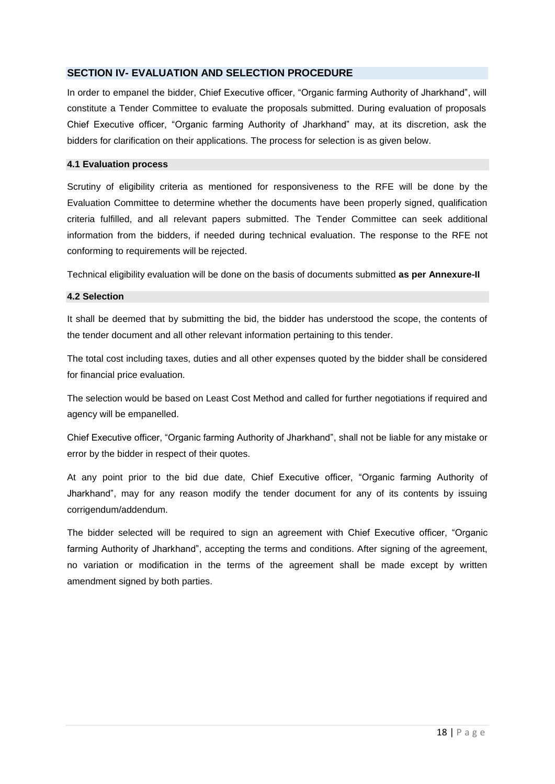# **SECTION IV- EVALUATION AND SELECTION PROCEDURE**

In order to empanel the bidder, Chief Executive officer, "Organic farming Authority of Jharkhand", will constitute a Tender Committee to evaluate the proposals submitted. During evaluation of proposals Chief Executive officer, "Organic farming Authority of Jharkhand" may, at its discretion, ask the bidders for clarification on their applications. The process for selection is as given below.

#### <span id="page-17-0"></span>**4.1 Evaluation process**

Scrutiny of eligibility criteria as mentioned for responsiveness to the RFE will be done by the Evaluation Committee to determine whether the documents have been properly signed, qualification criteria fulfilled, and all relevant papers submitted. The Tender Committee can seek additional information from the bidders, if needed during technical evaluation. The response to the RFE not conforming to requirements will be rejected.

Technical eligibility evaluation will be done on the basis of documents submitted **as per Annexure-II**

#### <span id="page-17-1"></span>**4.2 Selection**

It shall be deemed that by submitting the bid, the bidder has understood the scope, the contents of the tender document and all other relevant information pertaining to this tender.

The total cost including taxes, duties and all other expenses quoted by the bidder shall be considered for financial price evaluation.

The selection would be based on Least Cost Method and called for further negotiations if required and agency will be empanelled.

Chief Executive officer, "Organic farming Authority of Jharkhand", shall not be liable for any mistake or error by the bidder in respect of their quotes.

At any point prior to the bid due date, Chief Executive officer, "Organic farming Authority of Jharkhand", may for any reason modify the tender document for any of its contents by issuing corrigendum/addendum.

The bidder selected will be required to sign an agreement with Chief Executive officer, "Organic farming Authority of Jharkhand", accepting the terms and conditions. After signing of the agreement, no variation or modification in the terms of the agreement shall be made except by written amendment signed by both parties.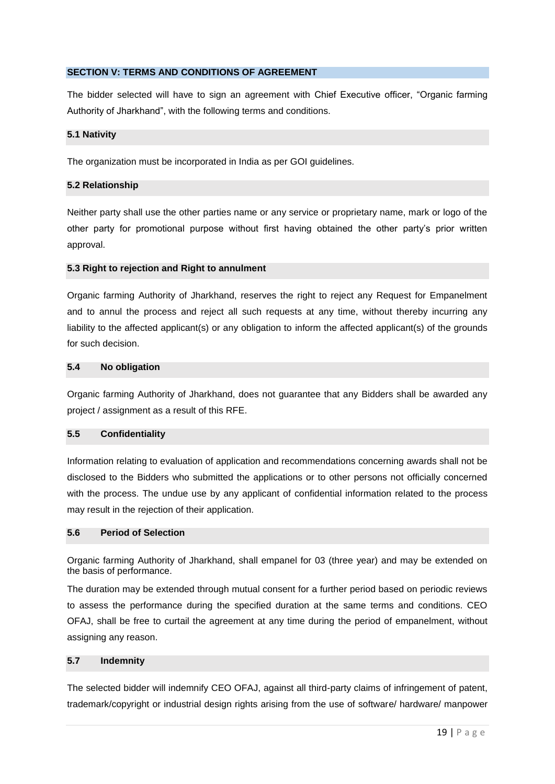# <span id="page-18-0"></span>**SECTION V: TERMS AND CONDITIONS OF AGREEMENT**

The bidder selected will have to sign an agreement with Chief Executive officer, "Organic farming Authority of Jharkhand", with the following terms and conditions.

#### <span id="page-18-1"></span>**5.1 Nativity**

The organization must be incorporated in India as per GOI guidelines.

#### <span id="page-18-2"></span>**5.2 Relationship**

Neither party shall use the other parties name or any service or proprietary name, mark or logo of the other party for promotional purpose without first having obtained the other party's prior written approval.

#### <span id="page-18-3"></span>**5.3 Right to rejection and Right to annulment**

<span id="page-18-4"></span>Organic farming Authority of Jharkhand, reserves the right to reject any Request for Empanelment and to annul the process and reject all such requests at any time, without thereby incurring any liability to the affected applicant(s) or any obligation to inform the affected applicant(s) of the grounds for such decision.

### **5.4 No obligation**

Organic farming Authority of Jharkhand, does not guarantee that any Bidders shall be awarded any project / assignment as a result of this RFE.

#### <span id="page-18-5"></span>**5.5 Confidentiality**

Information relating to evaluation of application and recommendations concerning awards shall not be disclosed to the Bidders who submitted the applications or to other persons not officially concerned with the process. The undue use by any applicant of confidential information related to the process may result in the rejection of their application.

#### <span id="page-18-6"></span>**5.6 Period of Selection**

Organic farming Authority of Jharkhand, shall empanel for 03 (three year) and may be extended on the basis of performance.

The duration may be extended through mutual consent for a further period based on periodic reviews to assess the performance during the specified duration at the same terms and conditions. CEO OFAJ, shall be free to curtail the agreement at any time during the period of empanelment, without assigning any reason.

#### <span id="page-18-7"></span>**5.7 Indemnity**

The selected bidder will indemnify CEO OFAJ, against all third-party claims of infringement of patent, trademark/copyright or industrial design rights arising from the use of software/ hardware/ manpower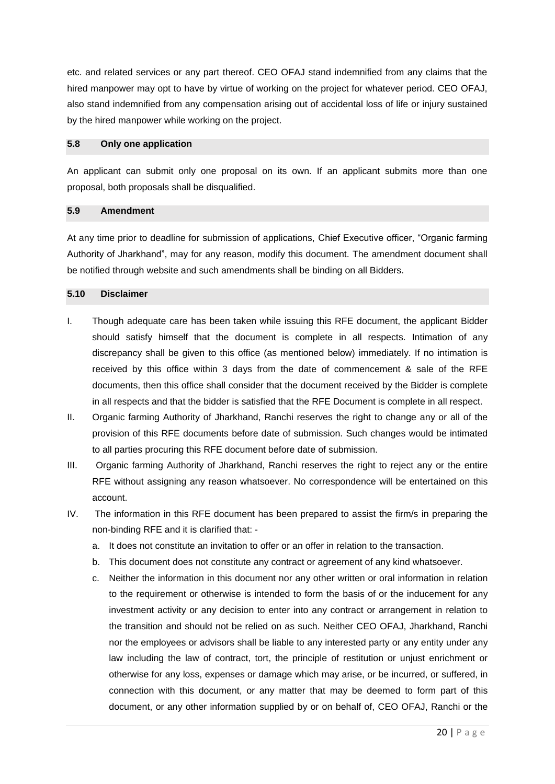etc. and related services or any part thereof. CEO OFAJ stand indemnified from any claims that the hired manpower may opt to have by virtue of working on the project for whatever period. CEO OFAJ, also stand indemnified from any compensation arising out of accidental loss of life or injury sustained by the hired manpower while working on the project.

#### <span id="page-19-0"></span>**5.8 Only one application**

An applicant can submit only one proposal on its own. If an applicant submits more than one proposal, both proposals shall be disqualified.

# <span id="page-19-1"></span>**5.9 Amendment**

At any time prior to deadline for submission of applications, Chief Executive officer, "Organic farming Authority of Jharkhand", may for any reason, modify this document. The amendment document shall be notified through website and such amendments shall be binding on all Bidders.

# <span id="page-19-2"></span>**5.10 Disclaimer**

- I. Though adequate care has been taken while issuing this RFE document, the applicant Bidder should satisfy himself that the document is complete in all respects. Intimation of any discrepancy shall be given to this office (as mentioned below) immediately. If no intimation is received by this office within 3 days from the date of commencement & sale of the RFE documents, then this office shall consider that the document received by the Bidder is complete in all respects and that the bidder is satisfied that the RFE Document is complete in all respect.
- II. Organic farming Authority of Jharkhand, Ranchi reserves the right to change any or all of the provision of this RFE documents before date of submission. Such changes would be intimated to all parties procuring this RFE document before date of submission.
- III. Organic farming Authority of Jharkhand, Ranchi reserves the right to reject any or the entire RFE without assigning any reason whatsoever. No correspondence will be entertained on this account.
- IV. The information in this RFE document has been prepared to assist the firm/s in preparing the non-binding RFE and it is clarified that:
	- a. It does not constitute an invitation to offer or an offer in relation to the transaction.
	- b. This document does not constitute any contract or agreement of any kind whatsoever.
	- c. Neither the information in this document nor any other written or oral information in relation to the requirement or otherwise is intended to form the basis of or the inducement for any investment activity or any decision to enter into any contract or arrangement in relation to the transition and should not be relied on as such. Neither CEO OFAJ, Jharkhand, Ranchi nor the employees or advisors shall be liable to any interested party or any entity under any law including the law of contract, tort, the principle of restitution or unjust enrichment or otherwise for any loss, expenses or damage which may arise, or be incurred, or suffered, in connection with this document, or any matter that may be deemed to form part of this document, or any other information supplied by or on behalf of, CEO OFAJ, Ranchi or the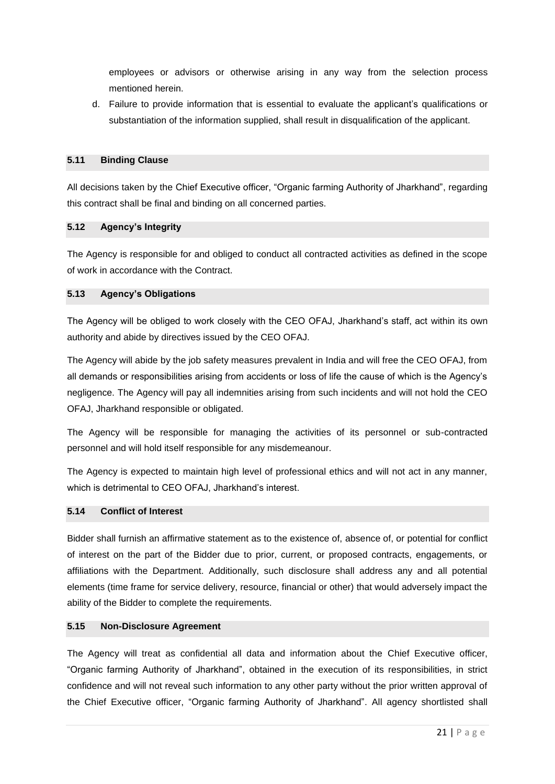employees or advisors or otherwise arising in any way from the selection process mentioned herein.

d. Failure to provide information that is essential to evaluate the applicant's qualifications or substantiation of the information supplied, shall result in disqualification of the applicant.

## <span id="page-20-0"></span>**5.11 Binding Clause**

All decisions taken by the Chief Executive officer, "Organic farming Authority of Jharkhand", regarding this contract shall be final and binding on all concerned parties.

## <span id="page-20-1"></span>**5.12 Agency's Integrity**

The Agency is responsible for and obliged to conduct all contracted activities as defined in the scope of work in accordance with the Contract.

# <span id="page-20-2"></span>**5.13 Agency's Obligations**

The Agency will be obliged to work closely with the CEO OFAJ, Jharkhand's staff, act within its own authority and abide by directives issued by the CEO OFAJ.

The Agency will abide by the job safety measures prevalent in India and will free the CEO OFAJ, from all demands or responsibilities arising from accidents or loss of life the cause of which is the Agency's negligence. The Agency will pay all indemnities arising from such incidents and will not hold the CEO OFAJ, Jharkhand responsible or obligated.

The Agency will be responsible for managing the activities of its personnel or sub-contracted personnel and will hold itself responsible for any misdemeanour.

The Agency is expected to maintain high level of professional ethics and will not act in any manner, which is detrimental to CEO OFAJ, Jharkhand's interest.

# <span id="page-20-3"></span>**5.14 Conflict of Interest**

Bidder shall furnish an affirmative statement as to the existence of, absence of, or potential for conflict of interest on the part of the Bidder due to prior, current, or proposed contracts, engagements, or affiliations with the Department. Additionally, such disclosure shall address any and all potential elements (time frame for service delivery, resource, financial or other) that would adversely impact the ability of the Bidder to complete the requirements.

# <span id="page-20-4"></span>**5.15 Non-Disclosure Agreement**

The Agency will treat as confidential all data and information about the Chief Executive officer, "Organic farming Authority of Jharkhand", obtained in the execution of its responsibilities, in strict confidence and will not reveal such information to any other party without the prior written approval of the Chief Executive officer, "Organic farming Authority of Jharkhand". All agency shortlisted shall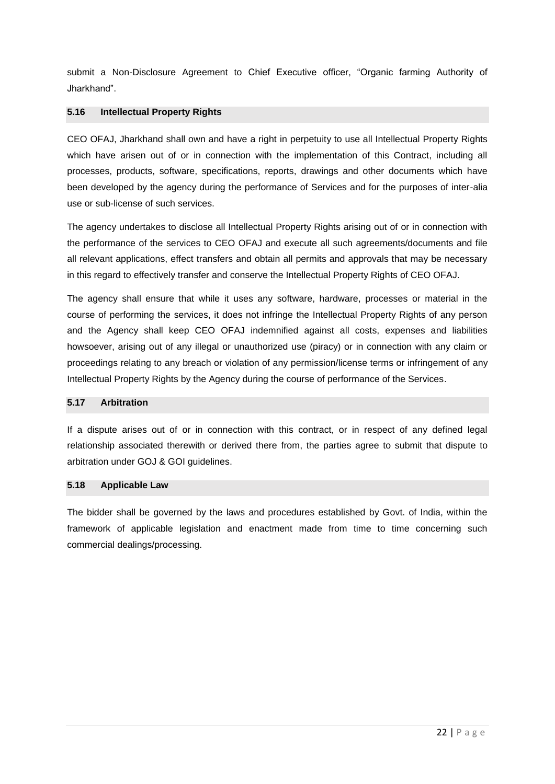submit a Non-Disclosure Agreement to Chief Executive officer, "Organic farming Authority of Jharkhand".

# <span id="page-21-0"></span>**5.16 Intellectual Property Rights**

CEO OFAJ, Jharkhand shall own and have a right in perpetuity to use all Intellectual Property Rights which have arisen out of or in connection with the implementation of this Contract, including all processes, products, software, specifications, reports, drawings and other documents which have been developed by the agency during the performance of Services and for the purposes of inter-alia use or sub-license of such services.

The agency undertakes to disclose all Intellectual Property Rights arising out of or in connection with the performance of the services to CEO OFAJ and execute all such agreements/documents and file all relevant applications, effect transfers and obtain all permits and approvals that may be necessary in this regard to effectively transfer and conserve the Intellectual Property Rights of CEO OFAJ.

The agency shall ensure that while it uses any software, hardware, processes or material in the course of performing the services, it does not infringe the Intellectual Property Rights of any person and the Agency shall keep CEO OFAJ indemnified against all costs, expenses and liabilities howsoever, arising out of any illegal or unauthorized use (piracy) or in connection with any claim or proceedings relating to any breach or violation of any permission/license terms or infringement of any Intellectual Property Rights by the Agency during the course of performance of the Services.

# <span id="page-21-1"></span>**5.17 Arbitration**

If a dispute arises out of or in connection with this contract, or in respect of any defined legal relationship associated therewith or derived there from, the parties agree to submit that dispute to arbitration under GOJ & GOI guidelines.

## <span id="page-21-2"></span>**5.18 Applicable Law**

The bidder shall be governed by the laws and procedures established by Govt. of India, within the framework of applicable legislation and enactment made from time to time concerning such commercial dealings/processing.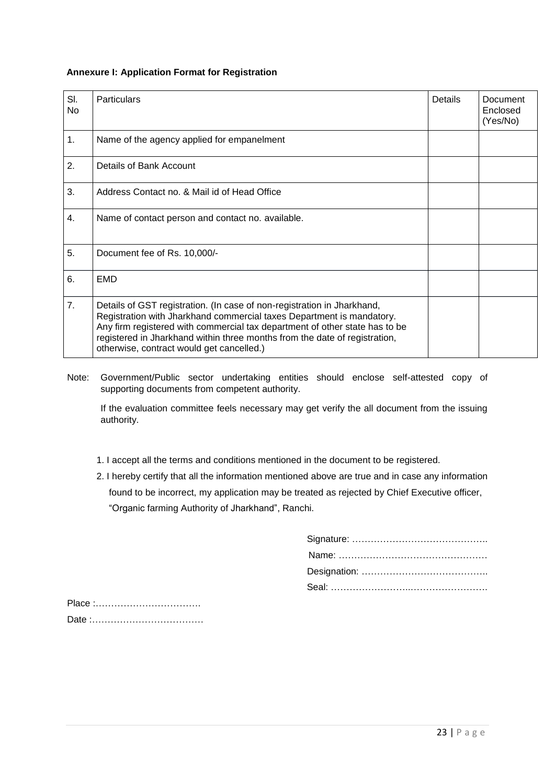# <span id="page-22-0"></span>**Annexure I: Application Format for Registration**

| SI.<br>No        | <b>Particulars</b>                                                                                                                                                                                                                                                                                                                                         | Details | Document<br>Enclosed<br>(Yes/No) |
|------------------|------------------------------------------------------------------------------------------------------------------------------------------------------------------------------------------------------------------------------------------------------------------------------------------------------------------------------------------------------------|---------|----------------------------------|
| 1.               | Name of the agency applied for empanelment                                                                                                                                                                                                                                                                                                                 |         |                                  |
| 2.               | Details of Bank Account                                                                                                                                                                                                                                                                                                                                    |         |                                  |
| 3.               | Address Contact no. & Mail id of Head Office                                                                                                                                                                                                                                                                                                               |         |                                  |
| $\overline{4}$ . | Name of contact person and contact no. available.                                                                                                                                                                                                                                                                                                          |         |                                  |
| 5.               | Document fee of Rs. 10,000/-                                                                                                                                                                                                                                                                                                                               |         |                                  |
| 6.               | EMD                                                                                                                                                                                                                                                                                                                                                        |         |                                  |
| 7.               | Details of GST registration. (In case of non-registration in Jharkhand,<br>Registration with Jharkhand commercial taxes Department is mandatory.<br>Any firm registered with commercial tax department of other state has to be<br>registered in Jharkhand within three months from the date of registration,<br>otherwise, contract would get cancelled.) |         |                                  |

Note: Government/Public sector undertaking entities should enclose self-attested copy of supporting documents from competent authority.

If the evaluation committee feels necessary may get verify the all document from the issuing authority.

- 1. I accept all the terms and conditions mentioned in the document to be registered.
- 2. I hereby certify that all the information mentioned above are true and in case any information found to be incorrect, my application may be treated as rejected by Chief Executive officer, "Organic farming Authority of Jharkhand", Ranchi.

Place :……………………………. Date :………………………………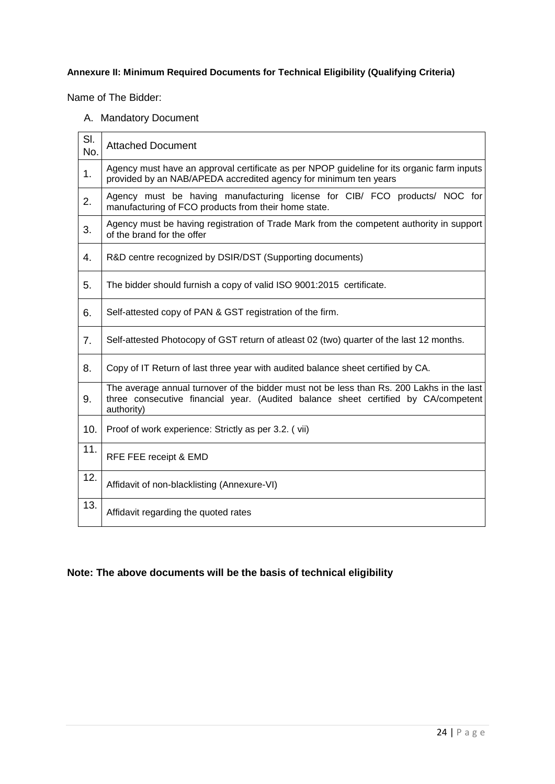# <span id="page-23-0"></span>**Annexure II: Minimum Required Documents for Technical Eligibility (Qualifying Criteria)**

Name of The Bidder:

# A. Mandatory Document

| SI.<br>No. | <b>Attached Document</b>                                                                                                                                                                      |
|------------|-----------------------------------------------------------------------------------------------------------------------------------------------------------------------------------------------|
| 1.         | Agency must have an approval certificate as per NPOP guideline for its organic farm inputs<br>provided by an NAB/APEDA accredited agency for minimum ten years                                |
| 2.         | Agency must be having manufacturing license for CIB/ FCO products/ NOC for<br>manufacturing of FCO products from their home state.                                                            |
| 3.         | Agency must be having registration of Trade Mark from the competent authority in support<br>of the brand for the offer                                                                        |
| 4.         | R&D centre recognized by DSIR/DST (Supporting documents)                                                                                                                                      |
| 5.         | The bidder should furnish a copy of valid ISO 9001:2015 certificate.                                                                                                                          |
| 6.         | Self-attested copy of PAN & GST registration of the firm.                                                                                                                                     |
| 7.         | Self-attested Photocopy of GST return of atleast 02 (two) quarter of the last 12 months.                                                                                                      |
| 8.         | Copy of IT Return of last three year with audited balance sheet certified by CA.                                                                                                              |
| 9.         | The average annual turnover of the bidder must not be less than Rs. 200 Lakhs in the last<br>three consecutive financial year. (Audited balance sheet certified by CA/competent<br>authority) |
| 10.        | Proof of work experience: Strictly as per 3.2. (vii)                                                                                                                                          |
| 11.        | RFE FEE receipt & EMD                                                                                                                                                                         |
| 12.        | Affidavit of non-blacklisting (Annexure-VI)                                                                                                                                                   |
| 13.        | Affidavit regarding the quoted rates                                                                                                                                                          |

# <span id="page-23-1"></span>**Note: The above documents will be the basis of technical eligibility**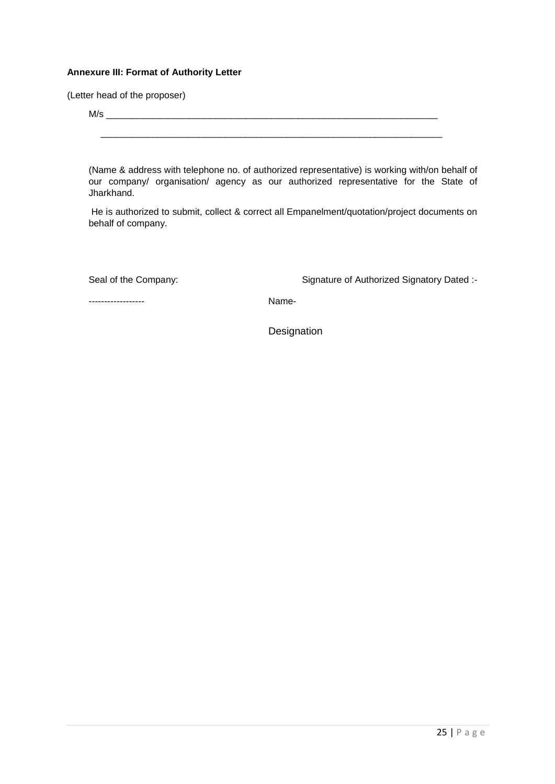# **Annexure III: Format of Authority Letter**

(Letter head of the proposer)

 $M/s$ 

 $\_$  ,  $\_$  ,  $\_$  ,  $\_$  ,  $\_$  ,  $\_$  ,  $\_$  ,  $\_$  ,  $\_$  ,  $\_$  ,  $\_$  ,  $\_$  ,  $\_$  ,  $\_$  ,  $\_$  ,  $\_$  ,  $\_$  ,  $\_$  ,  $\_$ 

(Name & address with telephone no. of authorized representative) is working with/on behalf of our company/ organisation/ agency as our authorized representative for the State of Jharkhand.

He is authorized to submit, collect & correct all Empanelment/quotation/project documents on behalf of company.

Seal of the Company: Seal of the Company: Signature of Authorized Signatory Dated :-

------------------ Name-

**Designation**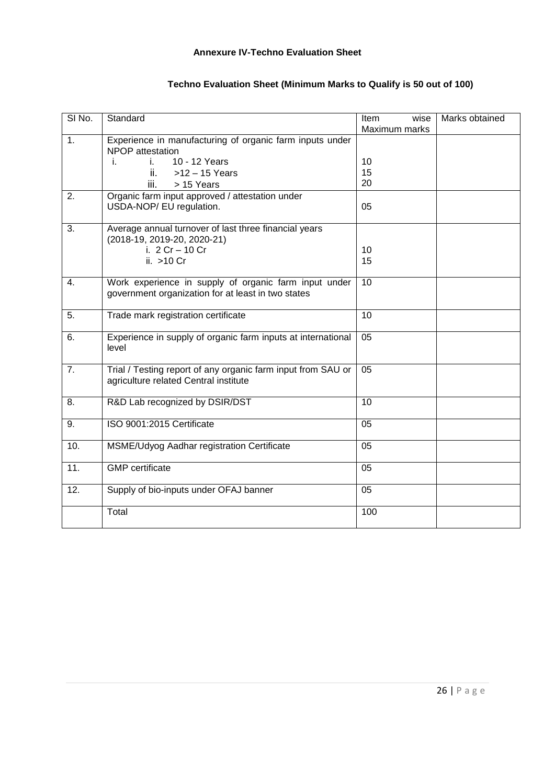# **Annexure IV-Techno Evaluation Sheet**

<span id="page-25-0"></span>

| SI <sub>No.</sub> | Standard                                                                                                    | Item<br>wise<br>Maximum marks | Marks obtained |
|-------------------|-------------------------------------------------------------------------------------------------------------|-------------------------------|----------------|
| 1.                | Experience in manufacturing of organic farm inputs under<br>NPOP attestation                                |                               |                |
|                   | 10 - 12 Years<br>i.<br>i.                                                                                   | 10                            |                |
|                   | $>12 - 15$ Years<br>ii.                                                                                     | 15<br>20                      |                |
| 2.                | iii.<br>> 15 Years<br>Organic farm input approved / attestation under                                       |                               |                |
|                   | USDA-NOP/ EU regulation.                                                                                    | 05                            |                |
| 3.                | Average annual turnover of last three financial years<br>(2018-19, 2019-20, 2020-21)                        |                               |                |
|                   | i. 2 Cr - 10 Cr<br>ii. >10 Cr                                                                               | 10<br>15                      |                |
| 4.                | Work experience in supply of organic farm input under<br>government organization for at least in two states | 10                            |                |
| $\overline{5}$ .  | Trade mark registration certificate                                                                         | $\overline{10}$               |                |
| 6.                | Experience in supply of organic farm inputs at international<br>level                                       | $\overline{05}$               |                |
| 7.                | Trial / Testing report of any organic farm input from SAU or<br>agriculture related Central institute       | 05                            |                |
| 8.                | R&D Lab recognized by DSIR/DST                                                                              | 10                            |                |
| 9.                | ISO 9001:2015 Certificate                                                                                   | 05                            |                |
| 10.               | MSME/Udyog Aadhar registration Certificate                                                                  | 05                            |                |
| 11.               | <b>GMP</b> certificate                                                                                      | 05                            |                |
| 12.               | Supply of bio-inputs under OFAJ banner                                                                      | 05                            |                |
|                   | Total                                                                                                       | 100                           |                |

# **Techno Evaluation Sheet (Minimum Marks to Qualify is 50 out of 100)**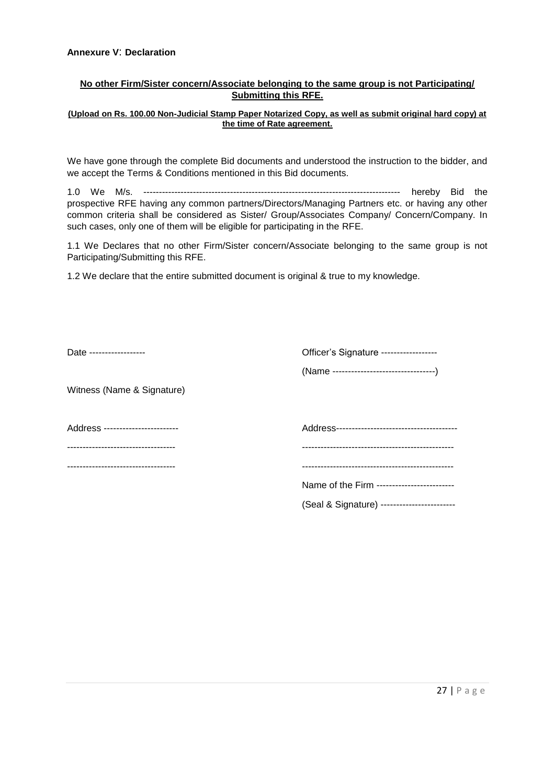# <span id="page-26-0"></span>**No other Firm/Sister concern/Associate belonging to the same group is not Participating/ Submitting this RFE.**

#### **(Upload on Rs. 100.00 Non-Judicial Stamp Paper Notarized Copy, as well as submit original hard copy) at the time of Rate agreement.**

We have gone through the complete Bid documents and understood the instruction to the bidder, and we accept the Terms & Conditions mentioned in this Bid documents.

1.0 We M/s. ----------------------------------------------------------------------------------- hereby Bid the prospective RFE having any common partners/Directors/Managing Partners etc. or having any other common criteria shall be considered as Sister/ Group/Associates Company/ Concern/Company. In such cases, only one of them will be eligible for participating in the RFE.

1.1 We Declares that no other Firm/Sister concern/Associate belonging to the same group is not Participating/Submitting this RFE.

1.2 We declare that the entire submitted document is original & true to my knowledge.

| Date -------------------         | Officer's Signature ------------------     |
|----------------------------------|--------------------------------------------|
|                                  |                                            |
| Witness (Name & Signature)       |                                            |
|                                  |                                            |
| Address ------------------------ |                                            |
|                                  |                                            |
| -------------------------------  |                                            |
|                                  | Name of the Firm ------------------------- |

(Seal & Signature) ------------------------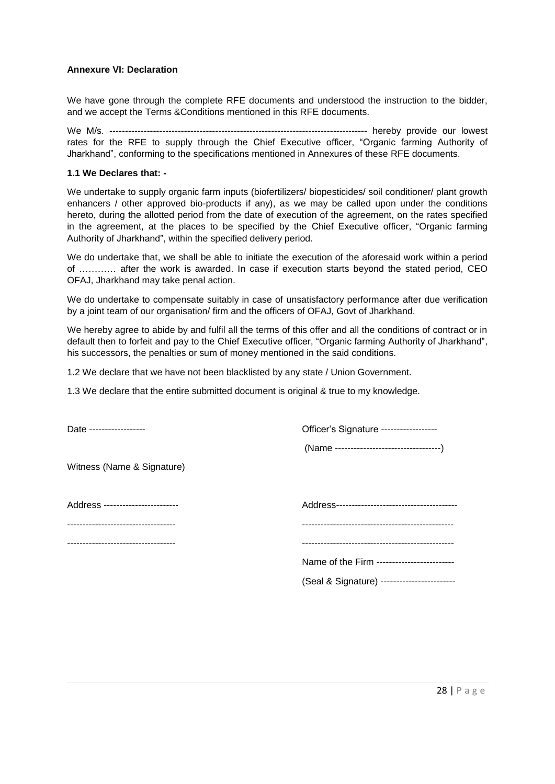#### <span id="page-27-0"></span>**Annexure VI: Declaration**

We have gone through the complete RFE documents and understood the instruction to the bidder, and we accept the Terms &Conditions mentioned in this RFE documents.

We M/s. ----------------------------------------------------------------------------------- hereby provide our lowest rates for the RFE to supply through the Chief Executive officer, "Organic farming Authority of Jharkhand", conforming to the specifications mentioned in Annexures of these RFE documents.

#### **1.1 We Declares that: -**

We undertake to supply organic farm inputs (biofertilizers/ biopesticides/ soil conditioner/ plant growth enhancers / other approved bio-products if any), as we may be called upon under the conditions hereto, during the allotted period from the date of execution of the agreement, on the rates specified in the agreement, at the places to be specified by the Chief Executive officer, "Organic farming Authority of Jharkhand", within the specified delivery period.

We do undertake that, we shall be able to initiate the execution of the aforesaid work within a period of ………… after the work is awarded. In case if execution starts beyond the stated period, CEO OFAJ, Jharkhand may take penal action.

We do undertake to compensate suitably in case of unsatisfactory performance after due verification by a joint team of our organisation/ firm and the officers of OFAJ, Govt of Jharkhand.

We hereby agree to abide by and fulfil all the terms of this offer and all the conditions of contract or in default then to forfeit and pay to the Chief Executive officer, "Organic farming Authority of Jharkhand", his successors, the penalties or sum of money mentioned in the said conditions.

1.2 We declare that we have not been blacklisted by any state / Union Government.

1.3 We declare that the entire submitted document is original & true to my knowledge.

| Date -------------------            | Officer's Signature -----------------       |
|-------------------------------------|---------------------------------------------|
|                                     |                                             |
| Witness (Name & Signature)          |                                             |
| Address ------------------------    |                                             |
| ----------------------------------- |                                             |
| ----------------------------------- |                                             |
|                                     | Name of the Firm -------------------------  |
|                                     | (Seal & Signature) ------------------------ |
|                                     |                                             |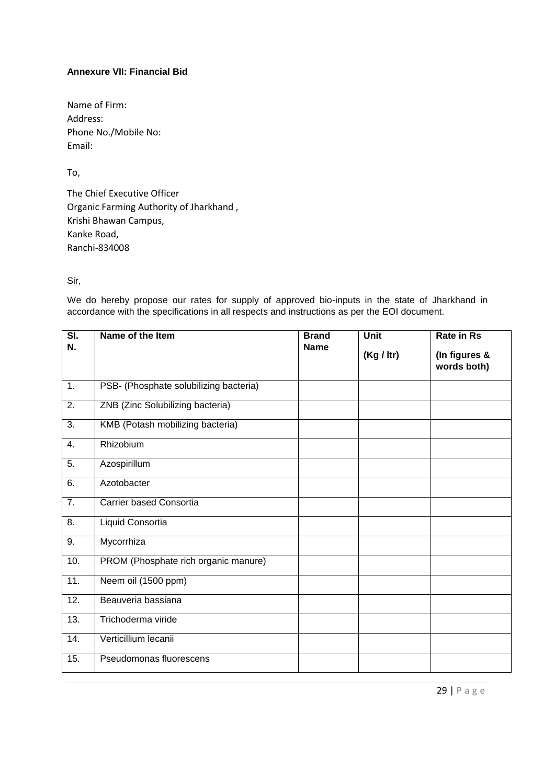# <span id="page-28-0"></span>**Annexure VII: Financial Bid**

Name of Firm: Address: Phone No./Mobile No: Email:

To,

The Chief Executive Officer Organic Farming Authority of Jharkhand , Krishi Bhawan Campus, Kanke Road, Ranchi-834008

Sir,

We do hereby propose our rates for supply of approved bio-inputs in the state of Jharkhand in accordance with the specifications in all respects and instructions as per the EOI document.

| $\overline{\mathsf{SI}}$ .<br>N. | Name of the Item                       | <b>Brand</b><br><b>Name</b> | Unit<br>(Kg / Itr) | <b>Rate in Rs</b><br>(In figures &<br>words both) |
|----------------------------------|----------------------------------------|-----------------------------|--------------------|---------------------------------------------------|
| $\overline{1}$ .                 | PSB- (Phosphate solubilizing bacteria) |                             |                    |                                                   |
| 2.                               | ZNB (Zinc Solubilizing bacteria)       |                             |                    |                                                   |
| 3.                               | KMB (Potash mobilizing bacteria)       |                             |                    |                                                   |
| 4.                               | Rhizobium                              |                             |                    |                                                   |
| 5.                               | Azospirillum                           |                             |                    |                                                   |
| 6.                               | Azotobacter                            |                             |                    |                                                   |
| 7.                               | Carrier based Consortia                |                             |                    |                                                   |
| 8.                               | Liquid Consortia                       |                             |                    |                                                   |
| 9.                               | Mycorrhiza                             |                             |                    |                                                   |
| 10.                              | PROM (Phosphate rich organic manure)   |                             |                    |                                                   |
| 11.                              | Neem oil (1500 ppm)                    |                             |                    |                                                   |
| 12.                              | Beauveria bassiana                     |                             |                    |                                                   |
| 13.                              | Trichoderma viride                     |                             |                    |                                                   |
| 14.                              | Verticillium lecanii                   |                             |                    |                                                   |
| 15.                              | Pseudomonas fluorescens                |                             |                    |                                                   |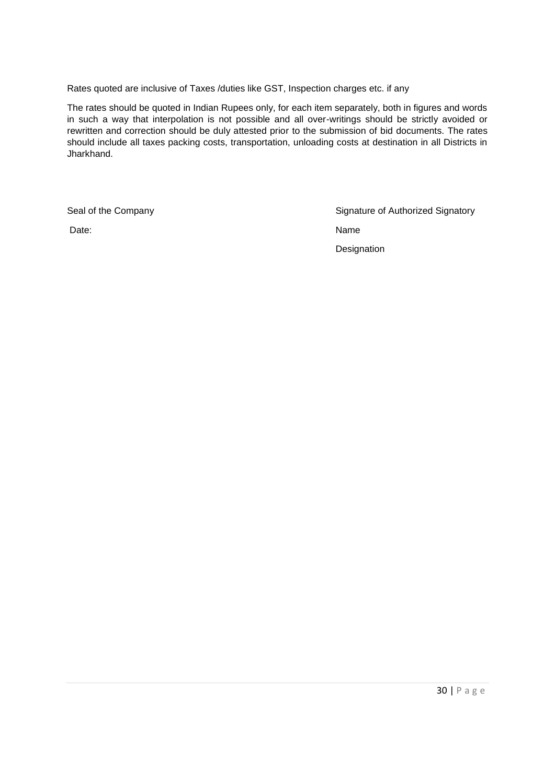Rates quoted are inclusive of Taxes /duties like GST, Inspection charges etc. if any

The rates should be quoted in Indian Rupees only, for each item separately, both in figures and words in such a way that interpolation is not possible and all over-writings should be strictly avoided or rewritten and correction should be duly attested prior to the submission of bid documents. The rates should include all taxes packing costs, transportation, unloading costs at destination in all Districts in Jharkhand.

Seal of the Company Signature of Authorized Signatory Date: Name Designation